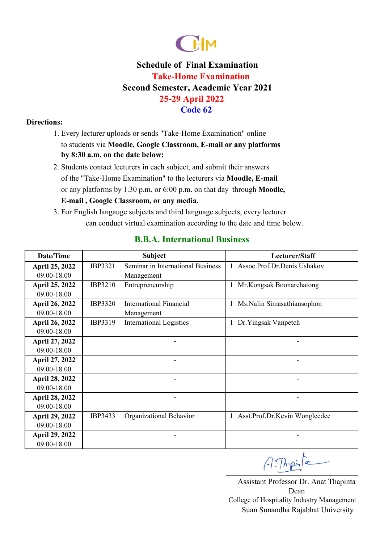

### **Directions:**

- 1. Every lecturer uploads or sends "Take-Home Examination" online to students via **Moodle, Google Classroom, E-mail or any platforms by 8:30 a.m. on the date below;**
- **E-mail , Google Classroom, or any media.**  or any platforms by 1.30 p.m. or 6:00 p.m. on that day through **Moodle,**  2. Students contact lecturers in each subject, and submit their answers of the "Take-Home Examination" to the lecturers via **Moodle, E-mail**
- 3. For English langauge subjects and third language subjects, every lecturer can conduct virtual examination according to the date and time below.

| Date/Time             |                | <b>Subject</b>                    | Lecturer/Staff                  |
|-----------------------|----------------|-----------------------------------|---------------------------------|
| <b>April 25, 2022</b> | IBP3321        | Seminar in International Business | 1 Assoc.Prof.Dr.Denis Ushakov   |
| 09.00-18.00           |                | Management                        |                                 |
| April 25, 2022        | IBP3210        | Entrepreneurship                  | Mr.Kongsak Boonarchatong        |
| 09.00-18.00           |                |                                   |                                 |
| <b>April 26, 2022</b> | <b>IBP3320</b> | <b>International Financial</b>    | Ms.Nalin Simasathiansophon<br>1 |
| 09.00-18.00           |                | Management                        |                                 |
| <b>April 26, 2022</b> | IBP3319        | <b>International Logistics</b>    | Dr. Yingsak Vanpetch            |
| 09.00-18.00           |                |                                   |                                 |
| April 27, 2022        |                |                                   |                                 |
| 09.00-18.00           |                |                                   |                                 |
| April 27, 2022        |                |                                   |                                 |
| 09.00-18.00           |                |                                   |                                 |
| <b>April 28, 2022</b> |                |                                   |                                 |
| 09.00-18.00           |                |                                   |                                 |
| <b>April 28, 2022</b> |                |                                   |                                 |
| 09.00-18.00           |                |                                   |                                 |
| <b>April 29, 2022</b> | IBP3433        | Organizational Behavior           | 1 Asst.Prof.Dr.Kevin Wongleedee |
| 09.00-18.00           |                |                                   |                                 |
| <b>April 29, 2022</b> |                |                                   |                                 |
| 09.00-18.00           |                |                                   |                                 |

### **B.B.A. International Business**

 $A:Th{\cdot}pi$ 

Assistant Professor Dr. Anat Thapinta Dean Suan Sunandha Rajabhat University College of Hospitality Industry Management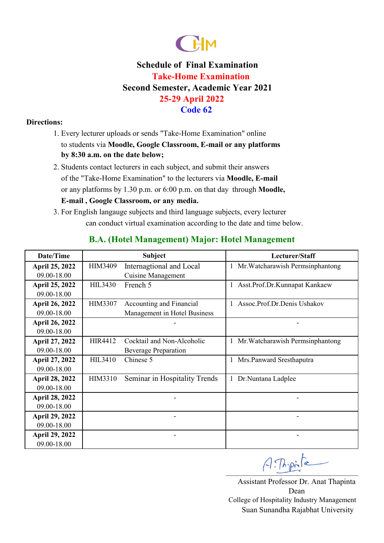

### **Directions:**

- 1. Every lecturer uploads or sends "Take-Home Examination" online to students via **Moodle, Google Classroom, E-mail or any platforms by 8:30 a.m. on the date below;**
- **E-mail , Google Classroom, or any media.**  or any platforms by 1.30 p.m. or 6:00 p.m. on that day through **Moodle,**  2. Students contact lecturers in each subject, and submit their answers of the "Take-Home Examination" to the lecturers via **Moodle, E-mail**
- 3. For English langauge subjects and third language subjects, every lecturer can conduct virtual examination according to the date and time below.

| Date/Time             |                | <b>Subject</b>                | Lecturer/Staff                      |
|-----------------------|----------------|-------------------------------|-------------------------------------|
| April 25, 2022        | HIM3409        | Internagtional and Local      | 1 Mr. Watcharawish Permsinphantong  |
| 09.00-18.00           |                | <b>Cuisine Management</b>     |                                     |
| April 25, 2022        | <b>HIL3430</b> | French 5                      | Asst.Prof.Dr.Kunnapat Kankaew<br>I. |
| 09.00-18.00           |                |                               |                                     |
| April 26, 2022        | HIM3307        | Accounting and Financial      | Assoc.Prof.Dr.Denis Ushakov         |
| 09.00-18.00           |                | Management in Hotel Business  |                                     |
| <b>April 26, 2022</b> |                |                               |                                     |
| 09.00-18.00           |                |                               |                                     |
| April 27, 2022        | <b>HIR4412</b> | Cocktail and Non-Alcoholic    | 1 Mr. Watcharawish Permsinphantong  |
| 09.00-18.00           |                | <b>Beverage Preparation</b>   |                                     |
| April 27, 2022        | <b>HIL3410</b> | Chinese 5                     | 1 Mrs. Panward Sresthaputra         |
| 09.00-18.00           |                |                               |                                     |
| <b>April 28, 2022</b> | HIM3310        | Seminar in Hospitality Trends | 1 Dr. Nuntana Ladplee               |
| 09.00-18.00           |                |                               |                                     |
| April 28, 2022        |                |                               |                                     |
| 09.00-18.00           |                |                               |                                     |
| <b>April 29, 2022</b> |                |                               |                                     |
| 09.00-18.00           |                |                               |                                     |
| April 29, 2022        |                |                               |                                     |
| 09.00-18.00           |                |                               |                                     |

## **B.A. (Hotel Management) Major: Hotel Management**

 $A:Th{\cdot}pi$ 

Assistant Professor Dr. Anat Thapinta Dean Suan Sunandha Rajabhat University College of Hospitality Industry Management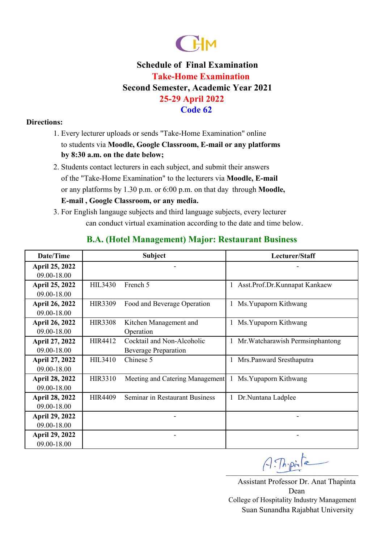

### **Directions:**

- 1. Every lecturer uploads or sends "Take-Home Examination" online to students via **Moodle, Google Classroom, E-mail or any platforms by 8:30 a.m. on the date below;**
- **E-mail , Google Classroom, or any media.**  or any platforms by 1.30 p.m. or 6:00 p.m. on that day through **Moodle,**  2. Students contact lecturers in each subject, and submit their answers of the "Take-Home Examination" to the lecturers via **Moodle, E-mail**
- 3. For English langauge subjects and third language subjects, every lecturer can conduct virtual examination according to the date and time below.

| Date/Time             |                | <b>Subject</b>                  | Lecturer/Staff                     |  |
|-----------------------|----------------|---------------------------------|------------------------------------|--|
| April 25, 2022        |                |                                 |                                    |  |
| 09.00-18.00           |                |                                 |                                    |  |
| April 25, 2022        | <b>HIL3430</b> | French 5                        | 1 Asst.Prof.Dr.Kunnapat Kankaew    |  |
| 09.00-18.00           |                |                                 |                                    |  |
| <b>April 26, 2022</b> | <b>HIR3309</b> | Food and Beverage Operation     | Ms. Yupaporn Kithwang<br>1         |  |
| 09.00-18.00           |                |                                 |                                    |  |
| <b>April 26, 2022</b> | <b>HIR3308</b> | Kitchen Management and          | Ms. Yupaporn Kithwang<br>1         |  |
| 09.00-18.00           |                | Operation                       |                                    |  |
| April 27, 2022        | HIR4412        | Cocktail and Non-Alcoholic      | 1 Mr. Watcharawish Permsinphantong |  |
| 09.00-18.00           |                | <b>Beverage Preparation</b>     |                                    |  |
| <b>April 27, 2022</b> | <b>HIL3410</b> | Chinese 5                       | 1 Mrs. Panward Sresthaputra        |  |
| 09.00-18.00           |                |                                 |                                    |  |
| <b>April 28, 2022</b> | <b>HIR3310</b> | Meeting and Catering Management | Ms. Yupaporn Kithwang<br>1         |  |
| 09.00-18.00           |                |                                 |                                    |  |
| <b>April 28, 2022</b> | <b>HIR4409</b> | Seminar in Restaurant Business  | 1 Dr. Nuntana Ladplee              |  |
| 09.00-18.00           |                |                                 |                                    |  |
| <b>April 29, 2022</b> |                |                                 |                                    |  |
| 09.00-18.00           |                |                                 |                                    |  |
| <b>April 29, 2022</b> |                |                                 |                                    |  |
| 09.00-18.00           |                |                                 |                                    |  |

## **B.A. (Hotel Management) Major: Restaurant Business**

 $A:Th{\cdot}pi$ 

Assistant Professor Dr. Anat Thapinta Dean Suan Sunandha Rajabhat University College of Hospitality Industry Management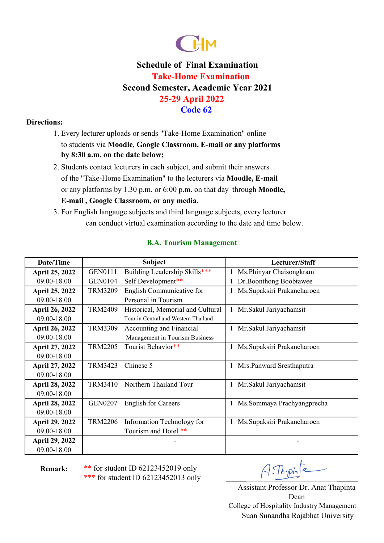

### **Directions:**

- 1. Every lecturer uploads or sends "Take-Home Examination" online to students via **Moodle, Google Classroom, E-mail or any platforms by 8:30 a.m. on the date below;**
- **E-mail , Google Classroom, or any media.**  or any platforms by 1.30 p.m. or 6:00 p.m. on that day through **Moodle,**  2. Students contact lecturers in each subject, and submit their answers of the "Take-Home Examination" to the lecturers via **Moodle, E-mail**
- 3. For English langauge subjects and third language subjects, every lecturer can conduct virtual examination according to the date and time below.

| Date/Time             |                | <b>Subject</b>                       | Lecturer/Staff              |
|-----------------------|----------------|--------------------------------------|-----------------------------|
| <b>April 25, 2022</b> | GEN0111        | Building Leadership Skills***        | Ms.Phinyar Chaisongkram     |
| 09.00-18.00           | <b>GEN0104</b> | Self Development**                   | Dr.Boonthong Boobtawee      |
| <b>April 25, 2022</b> | <b>TRM3209</b> | English Communicative for            | Ms. Supaksiri Prakancharoen |
| 09.00-18.00           |                | Personal in Tourism                  |                             |
| April 26, 2022        | <b>TRM2409</b> | Historical, Memorial and Cultural    | Mr.Sakul Jariyachamsit<br>1 |
| 09.00-18.00           |                | Tour in Central and Western Thailand |                             |
| <b>April 26, 2022</b> | <b>TRM3309</b> | Accounting and Financial             | 1 Mr. Sakul Jariyachamsit   |
| 09.00-18.00           |                | Management in Tourism Business       |                             |
| April 27, 2022        | <b>TRM2205</b> | Tourist Behavior**                   | Ms.Supaksiri Prakancharoen  |
| 09.00-18.00           |                |                                      |                             |
| April 27, 2022        | <b>TRM3423</b> | Chinese 5                            | Mrs.Panward Sresthaputra    |
| 09.00-18.00           |                |                                      |                             |
| <b>April 28, 2022</b> | <b>TRM3410</b> | Northern Thailand Tour               | Mr.Sakul Jariyachamsit      |
| 09.00-18.00           |                |                                      |                             |
| <b>April 28, 2022</b> | <b>GEN0207</b> | <b>English for Careers</b>           | Ms.Sommaya Prachyangprecha  |
| 09.00-18.00           |                |                                      |                             |
| <b>April 29, 2022</b> | <b>TRM2206</b> | Information Technology for           | Ms. Supaksiri Prakancharoen |
| 09.00-18.00           |                | Tourism and Hotel **                 |                             |
| <b>April 29, 2022</b> |                |                                      |                             |
| 09.00-18.00           |                |                                      |                             |

### **B.A. Tourism Management**

**Remark:**

\*\* for student ID 62123452019 only \*\*\* for student ID 62123452013 only

 $A$ . Thipinta

Assistant Professor Dr. Anat Thapinta Dean Suan Sunandha Rajabhat University College of Hospitality Industry Management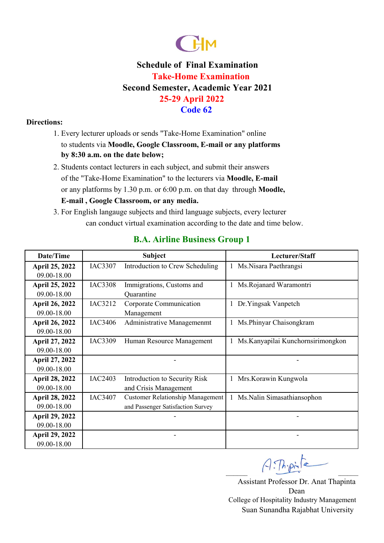

### **Directions:**

- 1. Every lecturer uploads or sends "Take-Home Examination" online to students via **Moodle, Google Classroom, E-mail or any platforms by 8:30 a.m. on the date below;**
- **E-mail , Google Classroom, or any media.**  or any platforms by 1.30 p.m. or 6:00 p.m. on that day through **Moodle,**  2. Students contact lecturers in each subject, and submit their answers of the "Take-Home Examination" to the lecturers via **Moodle, E-mail**
- 3. For English langauge subjects and third language subjects, every lecturer can conduct virtual examination according to the date and time below.

| Date/Time             |                | <b>Subject</b>                          |              | Lecturer/Staff                     |
|-----------------------|----------------|-----------------------------------------|--------------|------------------------------------|
| <b>April 25, 2022</b> | IAC3307        | Introduction to Crew Scheduling         | 1            | Ms.Nisara Paethrangsi              |
| 09.00-18.00           |                |                                         |              |                                    |
| <b>April 25, 2022</b> | <b>IAC3308</b> | Immigrations, Customs and               | $\mathbf{I}$ | Ms.Rojanard Waramontri             |
| 09.00-18.00           |                | Quarantine                              |              |                                    |
| <b>April 26, 2022</b> | IAC3212        | Corporate Communication                 |              | 1 Dr.Yingsak Vanpetch              |
| 09.00-18.00           |                | Management                              |              |                                    |
| <b>April 26, 2022</b> | IAC3406        | Administrative Managemenmt              |              | Ms.Phinyar Chaisongkram            |
| 09.00-18.00           |                |                                         |              |                                    |
| April 27, 2022        | IAC3309        | Human Resource Management               |              | Ms. Kanyapilai Kunchornsirimongkon |
| 09.00-18.00           |                |                                         |              |                                    |
| April 27, 2022        |                |                                         |              |                                    |
| 09.00-18.00           |                |                                         |              |                                    |
| <b>April 28, 2022</b> | <b>IAC2403</b> | Introduction to Security Risk           | 1            | Mrs. Korawin Kungwola              |
| 09.00-18.00           |                | and Crisis Management                   |              |                                    |
| April 28, 2022        | IAC3407        | <b>Customer Relationship Management</b> | $\mathbf{1}$ | Ms.Nalin Simasathiansophon         |
| 09.00-18.00           |                | and Passenger Satisfaction Survey       |              |                                    |
| <b>April 29, 2022</b> |                |                                         |              |                                    |
| 09.00-18.00           |                |                                         |              |                                    |
| April 29, 2022        |                |                                         |              |                                    |
| 09.00-18.00           |                |                                         |              |                                    |

## **B.A. Airline Business Group 1**

 $A:Th{\cdot}pi$ 

Assistant Professor Dr. Anat Thapinta Dean Suan Sunandha Rajabhat University College of Hospitality Industry Management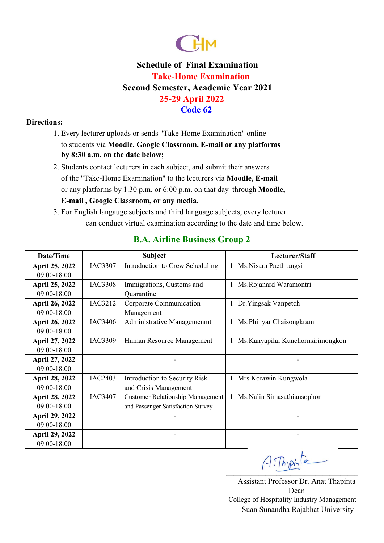

### **Directions:**

- 1. Every lecturer uploads or sends "Take-Home Examination" online to students via **Moodle, Google Classroom, E-mail or any platforms by 8:30 a.m. on the date below;**
- **E-mail , Google Classroom, or any media.**  or any platforms by 1.30 p.m. or 6:00 p.m. on that day through **Moodle,**  2. Students contact lecturers in each subject, and submit their answers of the "Take-Home Examination" to the lecturers via **Moodle, E-mail**
- 3. For English langauge subjects and third language subjects, every lecturer can conduct virtual examination according to the date and time below.

| Date/Time             |                | <b>Subject</b>                          | Lecturer/Staff                     |
|-----------------------|----------------|-----------------------------------------|------------------------------------|
| April 25, 2022        | IAC3307        | Introduction to Crew Scheduling         | Ms.Nisara Paethrangsi              |
| 09.00-18.00           |                |                                         |                                    |
| April 25, 2022        | <b>IAC3308</b> | Immigrations, Customs and               | Ms.Rojanard Waramontri             |
| 09.00-18.00           |                | Quarantine                              |                                    |
| <b>April 26, 2022</b> | IAC3212        | Corporate Communication                 | Dr.Yingsak Vanpetch                |
| 09.00-18.00           |                | Management                              |                                    |
| April 26, 2022        | IAC3406        | Administrative Managemenmt              | Ms.Phinyar Chaisongkram            |
| 09.00-18.00           |                |                                         |                                    |
| April 27, 2022        | IAC3309        | Human Resource Management               | Ms. Kanyapilai Kunchornsirimongkon |
| 09.00-18.00           |                |                                         |                                    |
| April 27, 2022        |                |                                         |                                    |
| 09.00-18.00           |                |                                         |                                    |
| <b>April 28, 2022</b> | <b>IAC2403</b> | Introduction to Security Risk           | Mrs. Korawin Kungwola              |
| 09.00-18.00           |                | and Crisis Management                   |                                    |
| <b>April 28, 2022</b> | IAC3407        | <b>Customer Relationship Management</b> | Ms.Nalin Simasathiansophon         |
| 09.00-18.00           |                | and Passenger Satisfaction Survey       |                                    |
| <b>April 29, 2022</b> |                |                                         |                                    |
| 09.00-18.00           |                |                                         |                                    |
| <b>April 29, 2022</b> |                |                                         |                                    |
| 09.00-18.00           |                |                                         |                                    |

## **B.A. Airline Business Group 2**

Assistant Professor Dr. Anat Thapinta  $A:$  The pinta

Dean Suan Sunandha Rajabhat University College of Hospitality Industry Management